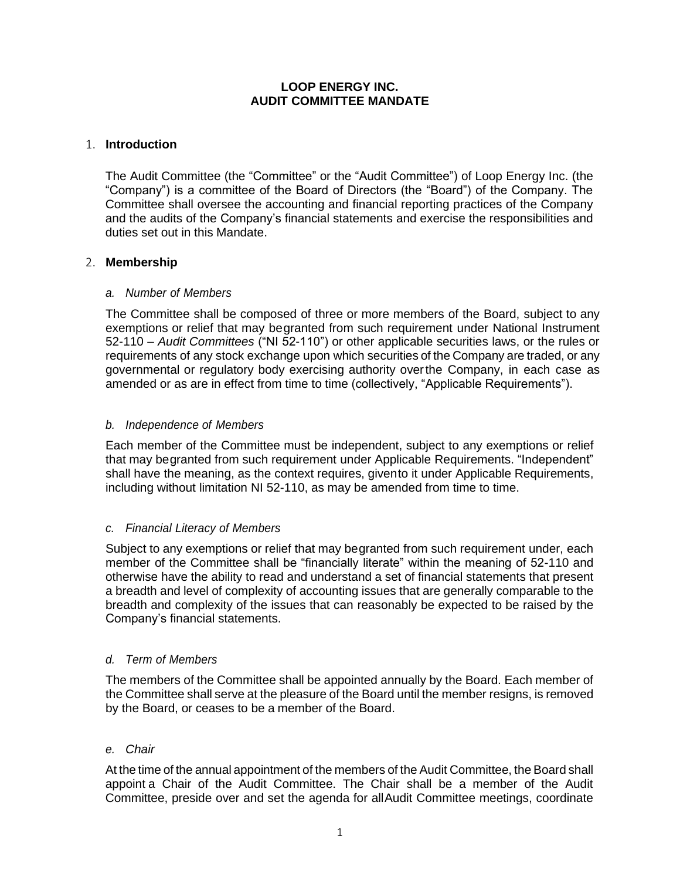## **LOOP ENERGY INC. AUDIT COMMITTEE MANDATE**

## 1. **Introduction**

The Audit Committee (the "Committee" or the "Audit Committee") of Loop Energy Inc. (the "Company") is a committee of the Board of Directors (the "Board") of the Company. The Committee shall oversee the accounting and financial reporting practices of the Company and the audits of the Company's financial statements and exercise the responsibilities and duties set out in this Mandate.

## 2. **Membership**

## *a. Number of Members*

The Committee shall be composed of three or more members of the Board, subject to any exemptions or relief that may begranted from such requirement under National Instrument 52-110 – *Audit Committees* ("NI 52-110") or other applicable securities laws, or the rules or requirements of any stock exchange upon which securities of the Company are traded, or any governmental or regulatory body exercising authority overthe Company, in each case as amended or as are in effect from time to time (collectively, "Applicable Requirements").

## *b. Independence of Members*

Each member of the Committee must be independent, subject to any exemptions or relief that may begranted from such requirement under Applicable Requirements. "Independent" shall have the meaning, as the context requires, givento it under Applicable Requirements, including without limitation NI 52-110, as may be amended from time to time.

# *c. Financial Literacy of Members*

Subject to any exemptions or relief that may begranted from such requirement under, each member of the Committee shall be "financially literate" within the meaning of 52-110 and otherwise have the ability to read and understand a set of financial statements that present a breadth and level of complexity of accounting issues that are generally comparable to the breadth and complexity of the issues that can reasonably be expected to be raised by the Company's financial statements.

## *d. Term of Members*

The members of the Committee shall be appointed annually by the Board. Each member of the Committee shall serve at the pleasure of the Board until the member resigns, is removed by the Board, or ceases to be a member of the Board.

## *e. Chair*

At the time of the annual appointment of the members of the Audit Committee, the Board shall appoint a Chair of the Audit Committee. The Chair shall be a member of the Audit Committee, preside over and set the agenda for allAudit Committee meetings, coordinate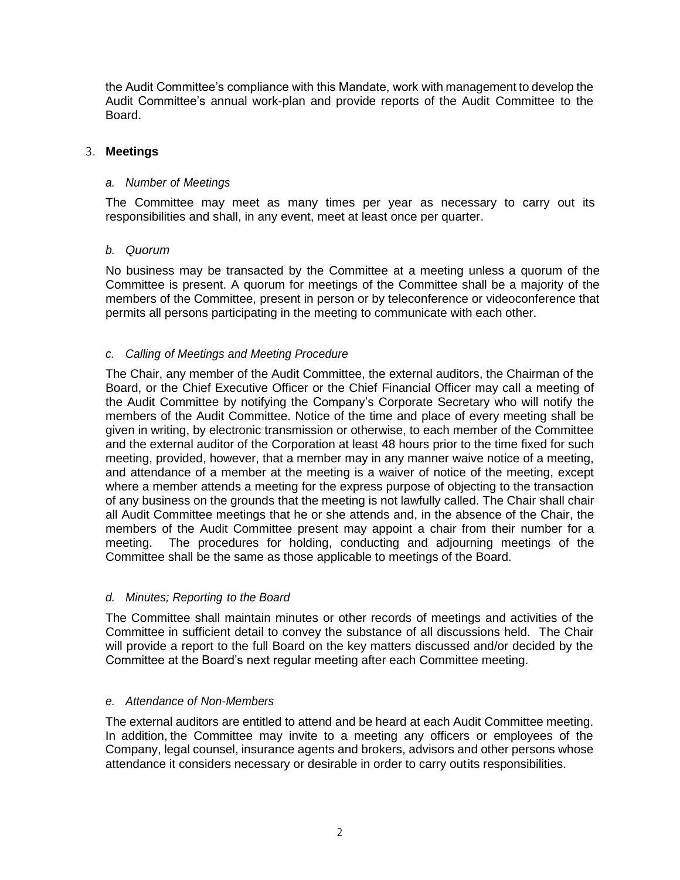the Audit Committee's compliance with this Mandate, work with management to develop the Audit Committee's annual work-plan and provide reports of the Audit Committee to the Board.

## 3. **Meetings**

#### *a. Number of Meetings*

The Committee may meet as many times per year as necessary to carry out its responsibilities and shall, in any event, meet at least once per quarter.

### *b. Quorum*

No business may be transacted by the Committee at a meeting unless a quorum of the Committee is present. A quorum for meetings of the Committee shall be a majority of the members of the Committee, present in person or by teleconference or videoconference that permits all persons participating in the meeting to communicate with each other.

## *c. Calling of Meetings and Meeting Procedure*

The Chair, any member of the Audit Committee, the external auditors, the Chairman of the Board, or the Chief Executive Officer or the Chief Financial Officer may call a meeting of the Audit Committee by notifying the Company's Corporate Secretary who will notify the members of the Audit Committee. Notice of the time and place of every meeting shall be given in writing, by electronic transmission or otherwise, to each member of the Committee and the external auditor of the Corporation at least 48 hours prior to the time fixed for such meeting, provided, however, that a member may in any manner waive notice of a meeting, and attendance of a member at the meeting is a waiver of notice of the meeting, except where a member attends a meeting for the express purpose of objecting to the transaction of any business on the grounds that the meeting is not lawfully called. The Chair shall chair all Audit Committee meetings that he or she attends and, in the absence of the Chair, the members of the Audit Committee present may appoint a chair from their number for a meeting. The procedures for holding, conducting and adjourning meetings of the Committee shall be the same as those applicable to meetings of the Board.

#### *d. Minutes; Reporting to the Board*

The Committee shall maintain minutes or other records of meetings and activities of the Committee in sufficient detail to convey the substance of all discussions held. The Chair will provide a report to the full Board on the key matters discussed and/or decided by the Committee at the Board's next regular meeting after each Committee meeting.

#### *e. Attendance of Non-Members*

The external auditors are entitled to attend and be heard at each Audit Committee meeting. In addition, the Committee may invite to a meeting any officers or employees of the Company, legal counsel, insurance agents and brokers, advisors and other persons whose attendance it considers necessary or desirable in order to carry outits responsibilities.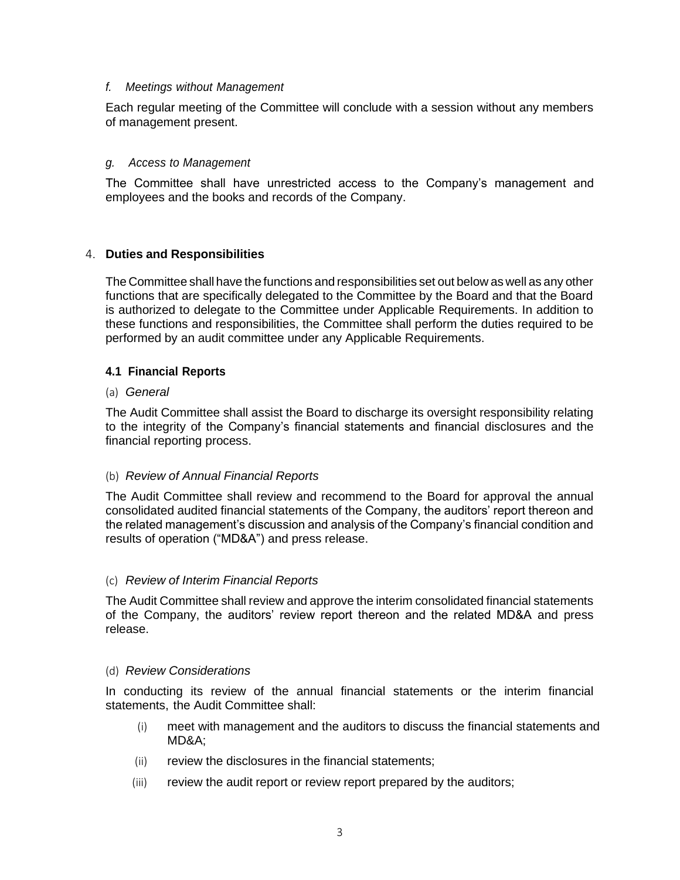### *f. Meetings without Management*

Each regular meeting of the Committee will conclude with a session without any members of management present.

### *g. Access to Management*

The Committee shall have unrestricted access to the Company's management and employees and the books and records of the Company.

### 4. **Duties and Responsibilities**

The Committee shall have the functions and responsibilities set out below as well as any other functions that are specifically delegated to the Committee by the Board and that the Board is authorized to delegate to the Committee under Applicable Requirements. In addition to these functions and responsibilities, the Committee shall perform the duties required to be performed by an audit committee under any Applicable Requirements.

### **4.1 Financial Reports**

#### (a) *General*

The Audit Committee shall assist the Board to discharge its oversight responsibility relating to the integrity of the Company's financial statements and financial disclosures and the financial reporting process.

## (b) *Review of Annual Financial Reports*

The Audit Committee shall review and recommend to the Board for approval the annual consolidated audited financial statements of the Company, the auditors' report thereon and the related management's discussion and analysis of the Company's financial condition and results of operation ("MD&A") and press release.

## (c) *Review of Interim Financial Reports*

The Audit Committee shall review and approve the interim consolidated financial statements of the Company, the auditors' review report thereon and the related MD&A and press release.

#### (d) *Review Considerations*

In conducting its review of the annual financial statements or the interim financial statements, the Audit Committee shall:

- (i) meet with management and the auditors to discuss the financial statements and MD&A;
- (ii) review the disclosures in the financial statements;
- (iii) review the audit report or review report prepared by the auditors;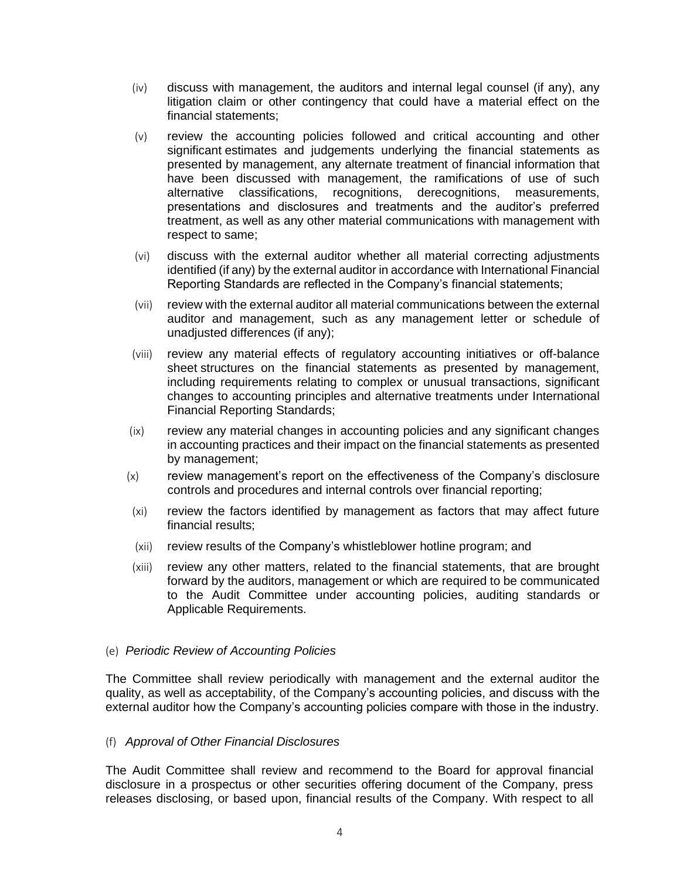- (iv) discuss with management, the auditors and internal legal counsel (if any), any litigation claim or other contingency that could have a material effect on the financial statements;
- (v) review the accounting policies followed and critical accounting and other significant estimates and judgements underlying the financial statements as presented by management, any alternate treatment of financial information that have been discussed with management, the ramifications of use of such alternative classifications, recognitions, derecognitions, measurements, presentations and disclosures and treatments and the auditor's preferred treatment, as well as any other material communications with management with respect to same;
- (vi) discuss with the external auditor whether all material correcting adjustments identified (if any) by the external auditor in accordance with International Financial Reporting Standards are reflected in the Company's financial statements;
- (vii) review with the external auditor all material communications between the external auditor and management, such as any management letter or schedule of unadjusted differences (if any);
- (viii) review any material effects of regulatory accounting initiatives or off-balance sheet structures on the financial statements as presented by management, including requirements relating to complex or unusual transactions, significant changes to accounting principles and alternative treatments under International Financial Reporting Standards;
- (ix) review any material changes in accounting policies and any significant changes in accounting practices and their impact on the financial statements as presented by management;
- (x) review management's report on the effectiveness of the Company's disclosure controls and procedures and internal controls over financial reporting;
- (xi) review the factors identified by management as factors that may affect future financial results;
- (xii) review results of the Company's whistleblower hotline program; and
- (xiii) review any other matters, related to the financial statements, that are brought forward by the auditors, management or which are required to be communicated to the Audit Committee under accounting policies, auditing standards or Applicable Requirements.

#### (e) *Periodic Review of Accounting Policies*

The Committee shall review periodically with management and the external auditor the quality, as well as acceptability, of the Company's accounting policies, and discuss with the external auditor how the Company's accounting policies compare with those in the industry.

#### (f) *Approval of Other Financial Disclosures*

The Audit Committee shall review and recommend to the Board for approval financial disclosure in a prospectus or other securities offering document of the Company, press releases disclosing, or based upon, financial results of the Company. With respect to all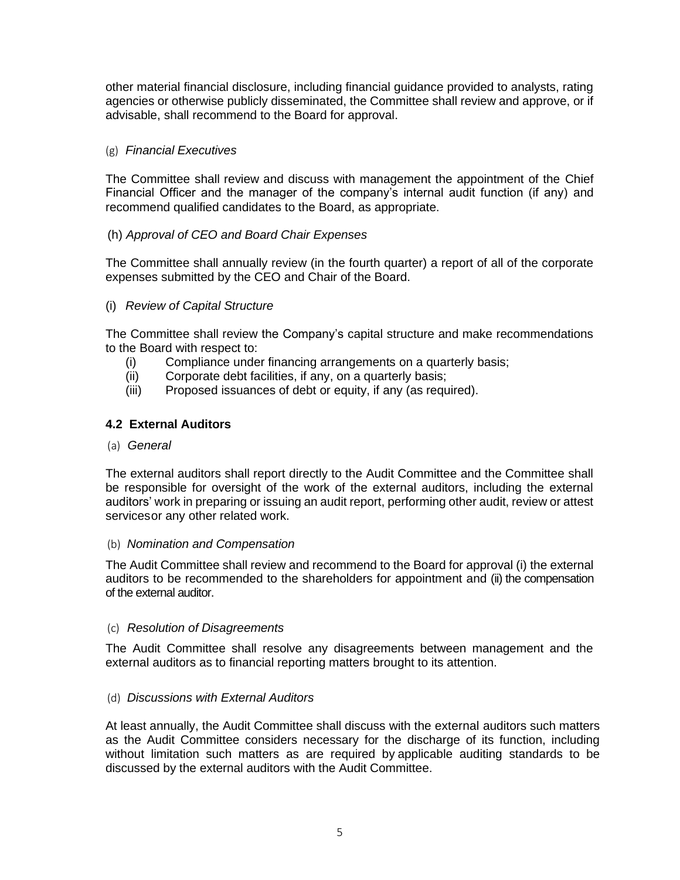other material financial disclosure, including financial guidance provided to analysts, rating agencies or otherwise publicly disseminated, the Committee shall review and approve, or if advisable, shall recommend to the Board for approval.

### (g) *Financial Executives*

The Committee shall review and discuss with management the appointment of the Chief Financial Officer and the manager of the company's internal audit function (if any) and recommend qualified candidates to the Board, as appropriate.

## (h) *Approval of CEO and Board Chair Expenses*

The Committee shall annually review (in the fourth quarter) a report of all of the corporate expenses submitted by the CEO and Chair of the Board.

## (i) *Review of Capital Structure*

The Committee shall review the Company's capital structure and make recommendations to the Board with respect to:

- (i) Compliance under financing arrangements on a quarterly basis;
- (ii) Corporate debt facilities, if any, on a quarterly basis;
- (iii) Proposed issuances of debt or equity, if any (as required).

### **4.2 External Auditors**

(a) *General*

The external auditors shall report directly to the Audit Committee and the Committee shall be responsible for oversight of the work of the external auditors, including the external auditors' work in preparing or issuing an audit report, performing other audit, review or attest servicesor any other related work.

#### (b) *Nomination and Compensation*

The Audit Committee shall review and recommend to the Board for approval (i) the external auditors to be recommended to the shareholders for appointment and (ii) the compensation of the external auditor.

#### (c) *Resolution of Disagreements*

The Audit Committee shall resolve any disagreements between management and the external auditors as to financial reporting matters brought to its attention.

#### (d) *Discussions with External Auditors*

At least annually, the Audit Committee shall discuss with the external auditors such matters as the Audit Committee considers necessary for the discharge of its function, including without limitation such matters as are required by applicable auditing standards to be discussed by the external auditors with the Audit Committee.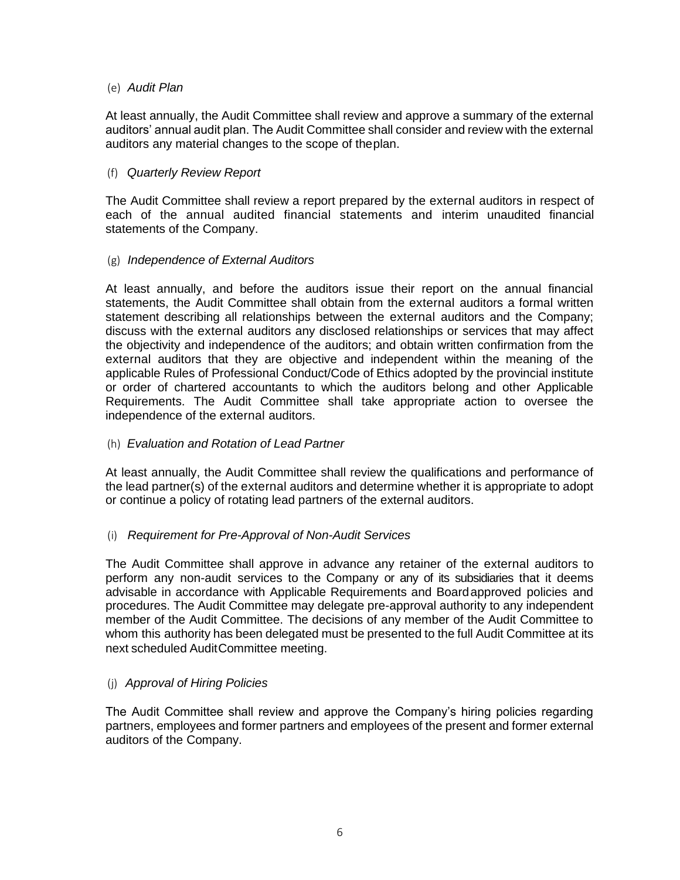### (e) *Audit Plan*

At least annually, the Audit Committee shall review and approve a summary of the external auditors' annual audit plan. The Audit Committee shall consider and review with the external auditors any material changes to the scope of theplan.

### (f) *Quarterly Review Report*

The Audit Committee shall review a report prepared by the external auditors in respect of each of the annual audited financial statements and interim unaudited financial statements of the Company.

### (g) *Independence of External Auditors*

At least annually, and before the auditors issue their report on the annual financial statements, the Audit Committee shall obtain from the external auditors a formal written statement describing all relationships between the external auditors and the Company; discuss with the external auditors any disclosed relationships or services that may affect the objectivity and independence of the auditors; and obtain written confirmation from the external auditors that they are objective and independent within the meaning of the applicable Rules of Professional Conduct/Code of Ethics adopted by the provincial institute or order of chartered accountants to which the auditors belong and other Applicable Requirements. The Audit Committee shall take appropriate action to oversee the independence of the external auditors.

### (h) *Evaluation and Rotation of Lead Partner*

At least annually, the Audit Committee shall review the qualifications and performance of the lead partner(s) of the external auditors and determine whether it is appropriate to adopt or continue a policy of rotating lead partners of the external auditors.

## (i) *Requirement for Pre-Approval of Non-Audit Services*

The Audit Committee shall approve in advance any retainer of the external auditors to perform any non-audit services to the Company or any of its subsidiaries that it deems advisable in accordance with Applicable Requirements and Boardapproved policies and procedures. The Audit Committee may delegate pre-approval authority to any independent member of the Audit Committee. The decisions of any member of the Audit Committee to whom this authority has been delegated must be presented to the full Audit Committee at its next scheduled AuditCommittee meeting.

## (j) *Approval of Hiring Policies*

The Audit Committee shall review and approve the Company's hiring policies regarding partners, employees and former partners and employees of the present and former external auditors of the Company.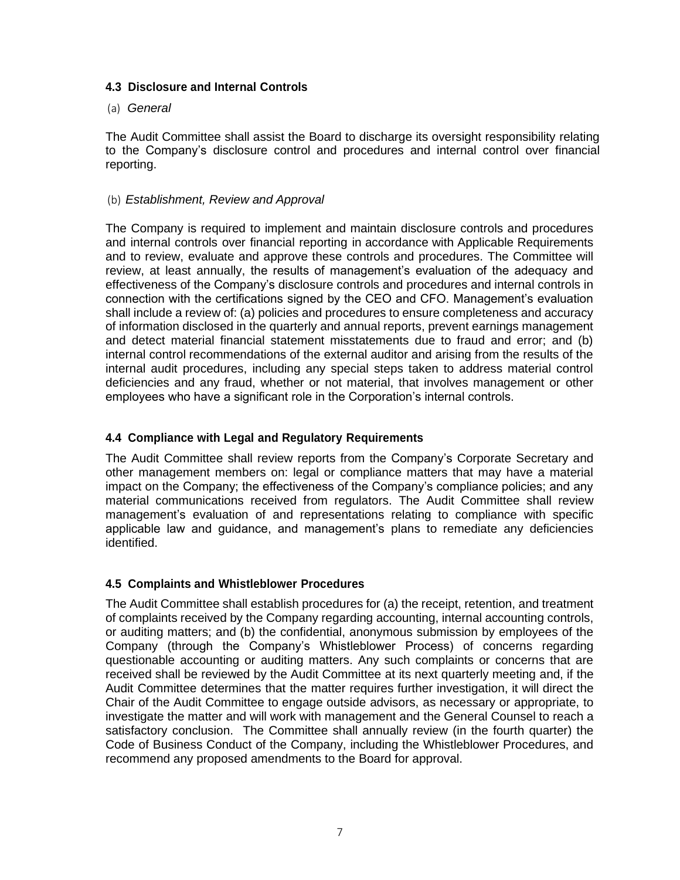## **4.3 Disclosure and Internal Controls**

#### (a) *General*

The Audit Committee shall assist the Board to discharge its oversight responsibility relating to the Company's disclosure control and procedures and internal control over financial reporting.

### (b) *Establishment, Review and Approval*

The Company is required to implement and maintain disclosure controls and procedures and internal controls over financial reporting in accordance with Applicable Requirements and to review, evaluate and approve these controls and procedures. The Committee will review, at least annually, the results of management's evaluation of the adequacy and effectiveness of the Company's disclosure controls and procedures and internal controls in connection with the certifications signed by the CEO and CFO. Management's evaluation shall include a review of: (a) policies and procedures to ensure completeness and accuracy of information disclosed in the quarterly and annual reports, prevent earnings management and detect material financial statement misstatements due to fraud and error; and (b) internal control recommendations of the external auditor and arising from the results of the internal audit procedures, including any special steps taken to address material control deficiencies and any fraud, whether or not material, that involves management or other employees who have a significant role in the Corporation's internal controls.

## **4.4 Compliance with Legal and Regulatory Requirements**

The Audit Committee shall review reports from the Company's Corporate Secretary and other management members on: legal or compliance matters that may have a material impact on the Company; the effectiveness of the Company's compliance policies; and any material communications received from regulators. The Audit Committee shall review management's evaluation of and representations relating to compliance with specific applicable law and guidance, and management's plans to remediate any deficiencies identified.

## **4.5 Complaints and Whistleblower Procedures**

The Audit Committee shall establish procedures for (a) the receipt, retention, and treatment of complaints received by the Company regarding accounting, internal accounting controls, or auditing matters; and (b) the confidential, anonymous submission by employees of the Company (through the Company's Whistleblower Process) of concerns regarding questionable accounting or auditing matters. Any such complaints or concerns that are received shall be reviewed by the Audit Committee at its next quarterly meeting and, if the Audit Committee determines that the matter requires further investigation, it will direct the Chair of the Audit Committee to engage outside advisors, as necessary or appropriate, to investigate the matter and will work with management and the General Counsel to reach a satisfactory conclusion. The Committee shall annually review (in the fourth quarter) the Code of Business Conduct of the Company, including the Whistleblower Procedures, and recommend any proposed amendments to the Board for approval.